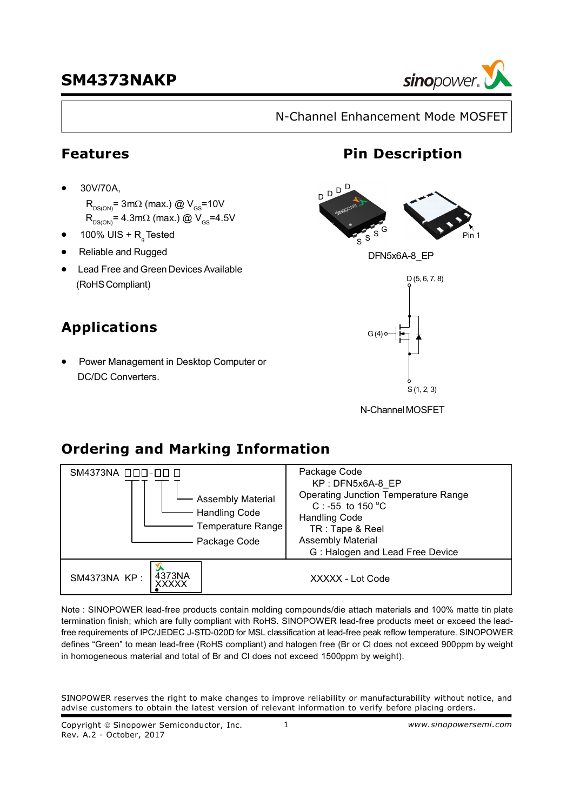

N-Channel Enhancement Mode MOSFET

### **Features**

- ·30V/70A,
	- $R_{DS(ON)}$ = 3m $\Omega$  (max.) @  $V_{GS}$ =10V
	- $R_{DS(ON)} = 4.3 \text{m}\Omega$  (max.) @ V<sub>GS</sub>=4.5V
- 100% UIS + R<sub>g</sub>Tested
- **·** Reliable and Rugged
- **·** Lead Free and Green Devices Available (RoHSCompliant)

## **Applications**

·Power Management in Desktop Computer or DC/DC Converters.



**Pin Description**

DFN5x6A-8\_EP



N-ChannelMOSFET

## **Ordering and Marking Information**



Note : SINOPOWER lead-free products contain molding compounds/die attach materials and 100% matte tin plate termination finish; which are fully compliant with RoHS. SINOPOWER lead-free products meet or exceed the leadfree requirements of IPC/JEDEC J-STD-020D for MSL classification at lead-free peak reflow temperature. SINOPOWER defines "Green" to mean lead-free (RoHS compliant) and halogen free (Br or Cl does not exceed 900ppm by weight in homogeneous material and total of Br and Cl does not exceed 1500ppm by weight).

SINOPOWER reserves the right to make changes to improve reliability or manufacturability without notice, and advise customers to obtain the latest version of relevant information to verify before placing orders.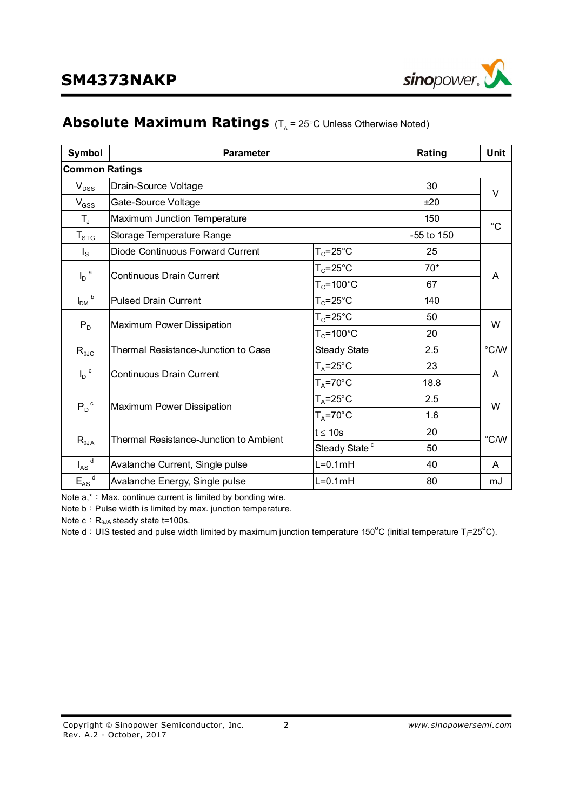

### **Absolute Maximum Ratings** (T<sub>A</sub> = 25°C Unless Otherwise Noted)

| Symbol                | <b>Parameter</b>                           |                           | Rating     | Unit          |  |
|-----------------------|--------------------------------------------|---------------------------|------------|---------------|--|
| <b>Common Ratings</b> |                                            |                           |            |               |  |
| $V_{DSS}$             | Drain-Source Voltage                       |                           | 30         | $\vee$        |  |
| $V_{GSS}$             | Gate-Source Voltage                        |                           | ±20        |               |  |
| $T_{\rm J}$           | Maximum Junction Temperature               |                           | 150        | $^{\circ}C$   |  |
| $T_{\mathtt{STG}}$    | Storage Temperature Range                  |                           | -55 to 150 |               |  |
| $I_{\rm S}$           | Diode Continuous Forward Current           | $T_c = 25$ °C             | 25         |               |  |
| a                     | <b>Continuous Drain Current</b>            | $T_c = 25$ °C             | $70*$      |               |  |
| I <sub>D</sub>        |                                            | $T_c = 100^{\circ}C$      | 67         | A             |  |
| b<br>I <sub>DM</sub>  | <b>Pulsed Drain Current</b>                | $T_c = 25$ °C             | 140        |               |  |
| $P_D$                 | Maximum Power Dissipation                  | $T_c = 25$ °C             | 50         | W             |  |
|                       |                                            | $T_c = 100^{\circ}$ C     | 20         |               |  |
| $R_{\theta JC}$       | <b>Thermal Resistance-Junction to Case</b> | <b>Steady State</b>       | 2.5        | $\degree$ C/W |  |
| $I_D$ <sup>c</sup>    | <b>Continuous Drain Current</b>            | $T_A = 25^\circ C$        | 23         | A             |  |
|                       |                                            | $T_A = 70^\circ C$        | 18.8       |               |  |
| $P_D^{\ c}$           | Maximum Power Dissipation                  | $T_A = 25^\circ C$        | 2.5        | W             |  |
|                       |                                            | $T_A = 70^\circ C$        | 1.6        |               |  |
| $R_{\theta$ JA        | Thermal Resistance-Junction to Ambient     | $t \leq 10s$              | 20         | °C/W          |  |
|                       |                                            | Steady State <sup>c</sup> | 50         |               |  |
| $I_{AS}$ <sup>d</sup> | Avalanche Current, Single pulse            | $L=0.1mH$                 | 40         | A             |  |
| $E_{AS}$ <sup>d</sup> | Avalanche Energy, Single pulse             | $L=0.1mH$                 | 80         | mJ            |  |

Note  $a, * :$  Max. continue current is limited by bonding wire.

Note b: Pulse width is limited by max. junction temperature.

Note  $c: R_{\theta}$ JA steady state t=100s.

Note d: UIS tested and pulse width limited by maximum junction temperature 150<sup>o</sup>C (initial temperature T<sub>j</sub>=25<sup>o</sup>C).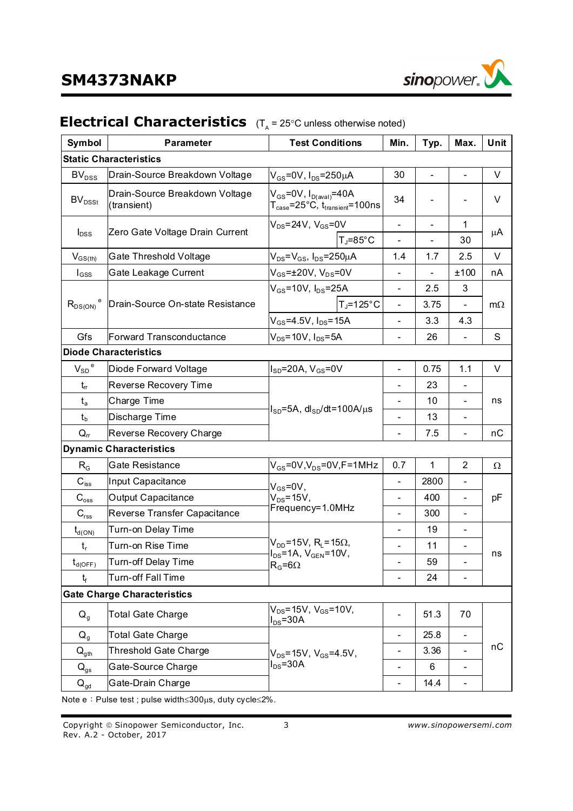

#### **Symbol Parameter Parameter Parameter Parameter Prop. Parameter Prop. Prop. Prop. Prop. Prop. Prop. Prop. Prop. Prop. Prop. Prop. Prop. Prop. Prop. Prop. Prop. Prop. Prop. Static Characteristics**  BV<sub>DSS</sub> Drain-Source Breakdown Voltage  $|V_{GS}=0V, I_{DS}=250 \mu A$  30 - - V  $BV<sub>DSSt</sub>$ Drain-Source Breakdown Voltage (transient)  $V_{GS}$ =0V,  $I_{D(\text{aval})}$ =40A  $T_\mathsf{case}$ =25°C,  $t_\mathsf{transient}$ =100ns 34 | - | - | V  $V_{DS}=24V$ ,  $V_{GS}=0V$   $1$ I<sub>DSS</sub> Zero Gate Voltage Drain Current  $T = 85^{\circ}C$  - - 30 μA  $V_{GS(th)}$  Gate Threshold Voltage  $|V_{DS}=V_{GS}$ ,  $I_{DS}=250\mu A$  1.4 1.7 2.5 V  $I_{GSS}$  Gate Leakage Current  $V_{GS}=±20V, V_{DS}=0V$   $+100$  nA  $V_{GS}$ =10V, I<sub>DS</sub>=25A | - | 2.5 | 3  $R_{DS(ON)}$ <sup>e</sup> Drain-Source On-state Resistance  $\begin{vmatrix} 1 & 0 & 0 \\ 0 & 1 & -1 \end{vmatrix}$  7  $\begin{vmatrix} -1 & 0 & -125 \\ -1 & 0 & 0 \\ 0 & 0 & 0 \end{vmatrix}$  - $V_{GS}$ =4.5V,  $I_{DS}$ =15A  $\vert$  - 3.3 4.3  $m\Omega$ Gfs Forward Transconductance  $|V_{DS}=10V, I_{DS}=5A$  | - | 26 | - | S **Diode Characteristics**   $V_{SD}$ <sup>e</sup> Diode Forward Voltage  $\vert$ I<sub>SD</sub>=20A, V<sub>GS</sub>=0V  $\vert$  -  $\vert$  0.75 | 1.1 | V  $t_{\rm r}$  Reverse Recovery Time  $t_{\rm r}$  - 23 t<sup>a</sup> Charge Time - 10  $t_b$  Discharge Time  $\begin{vmatrix} 1_{50} & 0 & 0 \\ 0 & 0 & 1 \end{vmatrix}$  - 13 ns  $Q_{rr}$  Reverse Recovery Charge  $I_{SD}$ =5A, dl<sub>SD</sub>/dt=100A/ $\mu$ s  $7.5$  -  $nC$ **Dynamic Characteristics**   $R_G$  Gate Resistance  $|V_{GS}=0V,V_{DS}=0V,F=1MHz$  | 0.7 | 1 | 2 |  $\Omega$  $C_{\text{iss}}$  |Input Capacitance  $\vert \cdot \vert$  2800  $C_{\text{oss}}$  | Output Capacitance  $V_{DS}$ =15V,  $|V_{DS}$  -  $|$  400 | -C<sub>rss</sub> Reverse Transfer Capacitance  $V_{GS} = 0V$ ,  $V_{DS}$ =15V, Frequency=1.0MHz  $-$  300  $$ pF  $t_{\text{d(ON)}}$  Turn-on Delay Time  $1 - 19$ t<sup>r</sup> Turn-on Rise Time - 11  $t_{\text{d(OFF)}}$  Turn-off Delay Time  $R_{\text{c}}=60$   $R_{\text{c}}=60$   $\text{F}$  $t_f$  Turn-off Fall Time  $V_{DD}$ =15V, R<sub>L</sub>=15 $\Omega$ ,  $I_{DS}$ =1A,  $V_{GEN}$ =10V,  $R_{\odot} = 6\Omega$ 24 ns **Gate Charge Characteristics**  Q<sub>a</sub> | Total Gate Charge  $V_{DS}$ =15V,  $V_{GS}$ =10V,  $V_{DS}$  - 13v, v<sub>GS</sub>-10v,<br> $I_{DS}$ =30A Q<sub>g</sub> Total Gate Charge  $\vert$  25.8  $Q_{\text{ath}}$  Threshold Gate Charge  $Q_{\text{net}} = 15V$ .  $V_{\text{c}g} = 4.5V$ .  $|$  -  $|$  3.36  $|$  - $Q_{gs}$  Gate-Source Charge  $\vert$   $\rangle$   $\vert$   $\vert$ s<sup>=30A</sup> -  $\vert$  6  $\vert$  - $Q_{\text{ad}}$  Gate-Drain Charge  $V_{DS}$ =15V,  $V_{GS}$ =4.5V,  $I_{DS}$ =30A  $-$  14.4  $$ nC

### **Electrical Characteristics** (T<sub>A</sub> = 25°C unless otherwise noted)

Note  $e:$  Pulse test ; pulse width $\leq$ 300 $\mu$ s, duty cycle $\leq$ 2%.

Copyright " Sinopower Semiconductor, Inc. 3 *www.sinopowersemi.com* Rev. A.2 - October, 2017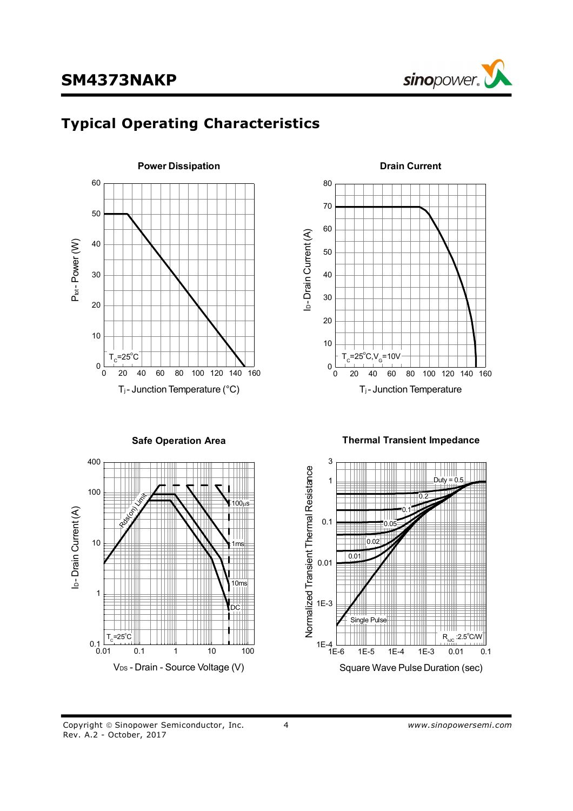

# **Typical Operating Characteristics**





**Safe Operation Area**



**Thermal Transient Impedance**



Copyright © Sinopower Semiconductor, Inc. 4 4 **1999** www.sinopowersemi.com Rev. A.2 - October, 2017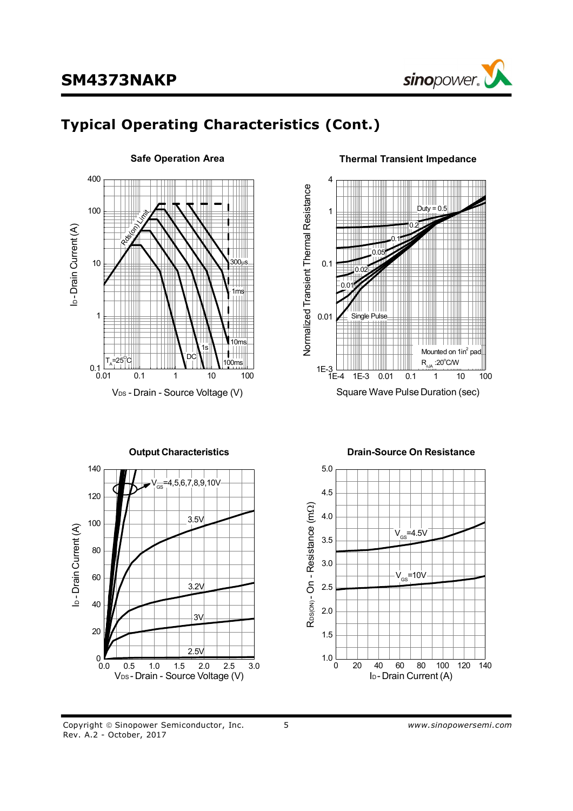

# **Typical Operating Characteristics (Cont.)**



#### **Safe Operation Area**



**Output Characteristics** 140 VGS=4,5,6,7,8,9,10V 120 3.5V 100 I<sub>D</sub>-Drain Current (A) ID - Drain Current (A) 80 60 3.2V 40 3V 20 2.5V  $0.0$ 0.0 0.5 1.0 1.5 2.0 2.5 3.0 VDS - Drain - Source Voltage (V)

#### **Drain-Source On Resistance**



#### Copyright © Sinopower Semiconductor, Inc. 5 5 7 *www.sinopowersemi.com* Rev. A.2 - October, 2017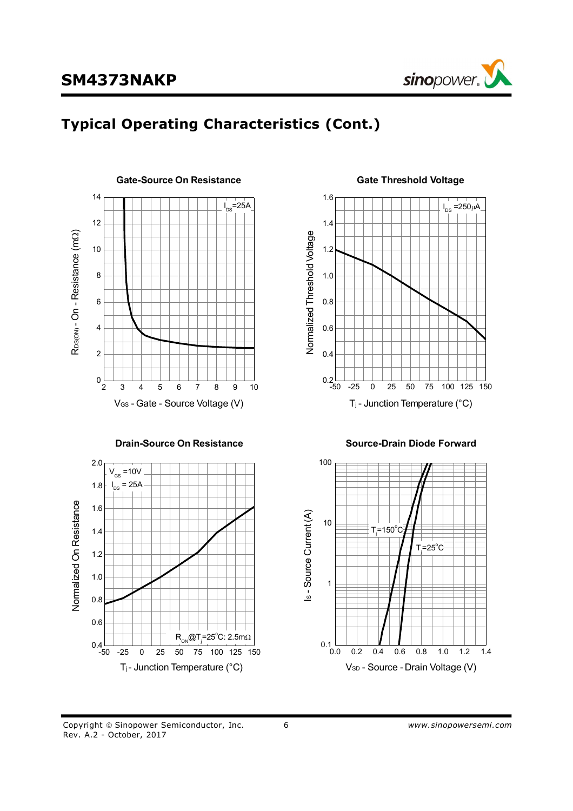

# **Typical Operating Characteristics (Cont.)**



#### **Drain-Source On Resistance**



#### **Gate Threshold Voltage**



**Source-Drain Diode Forward**



Copyright " Sinopower Semiconductor, Inc. 6 *www.sinopowersemi.com* Rev. A.2 - October, 2017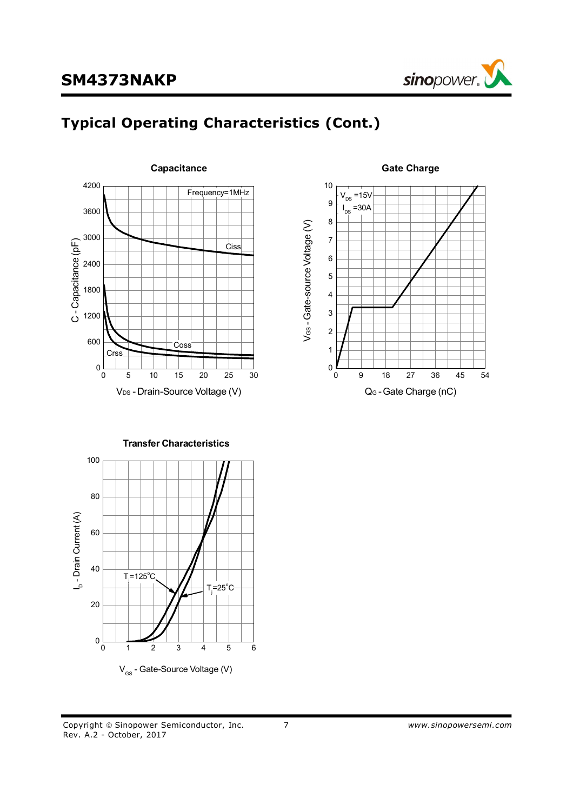

## **Typical Operating Characteristics (Cont.)**





**Transfer Characteristics** ــا<br>ص Drain Current (A)  $V_{\text{GS}}$  - Gate-Source Voltage (V) 0 1 2 3 4 5 6  $0\frac{L}{0}$ 20 40 60 80 100  $T = 125^{\circ}$ C  $T = 25^{\circ}$ C

Copyright " Sinopower Semiconductor, Inc. 7 *www.sinopowersemi.com* Rev. A.2 - October, 2017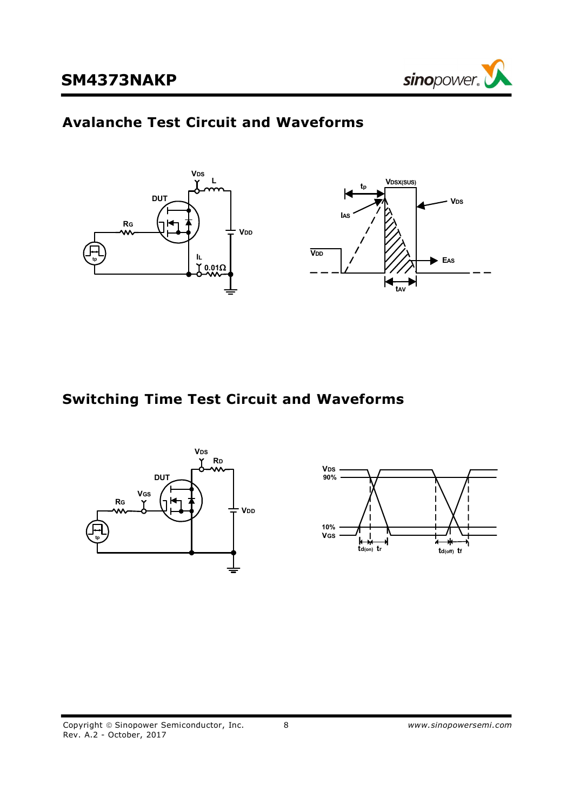

## **Avalanche Test Circuit and Waveforms**



## **Switching Time Test Circuit and Waveforms**

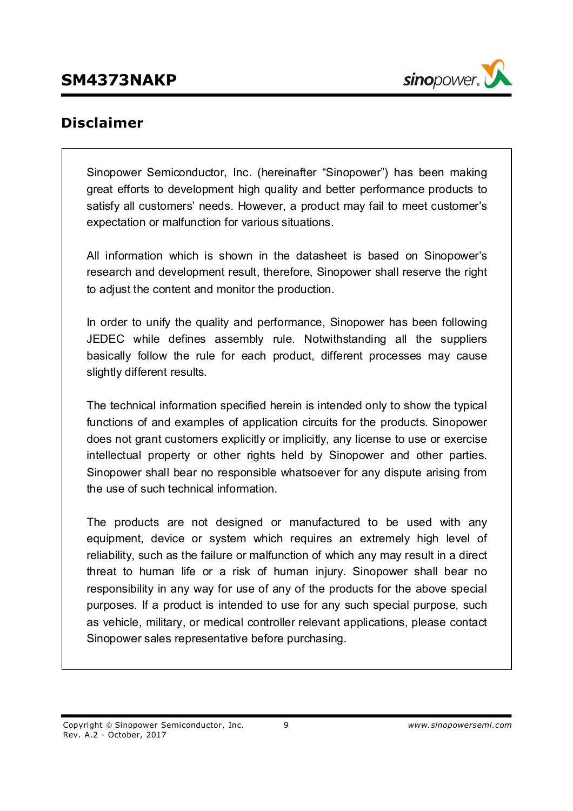

## **Disclaimer**

Sinopower Semiconductor, Inc. (hereinafter "Sinopower") has been making great efforts to development high quality and better performance products to satisfy all customers' needs. However, a product may fail to meet customer's expectation or malfunction for various situations.

All information which is shown in the datasheet is based on Sinopower's research and development result, therefore, Sinopower shall reserve the right to adjust the content and monitor the production.

In order to unify the quality and performance, Sinopower has been following JEDEC while defines assembly rule. Notwithstanding all the suppliers basically follow the rule for each product, different processes may cause slightly different results.

The technical information specified herein is intended only to show the typical functions of and examples of application circuits for the products. Sinopower does not grant customers explicitly or implicitly, any license to use or exercise intellectual property or other rights held by Sinopower and other parties. Sinopower shall bear no responsible whatsoever for any dispute arising from the use of such technical information.

The products are not designed or manufactured to be used with any equipment, device or system which requires an extremely high level of reliability, such as the failure or malfunction of which any may result in a direct threat to human life or a risk of human injury. Sinopower shall bear no responsibility in any way for use of any of the products for the above special purposes. If a product is intended to use for any such special purpose, such as vehicle, military, or medical controller relevant applications, please contact Sinopower sales representative before purchasing.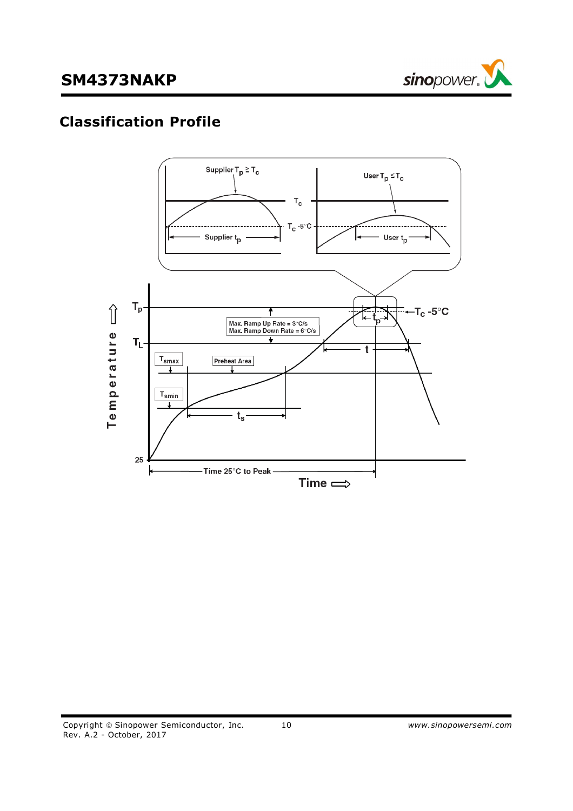

# **Classification Profile**